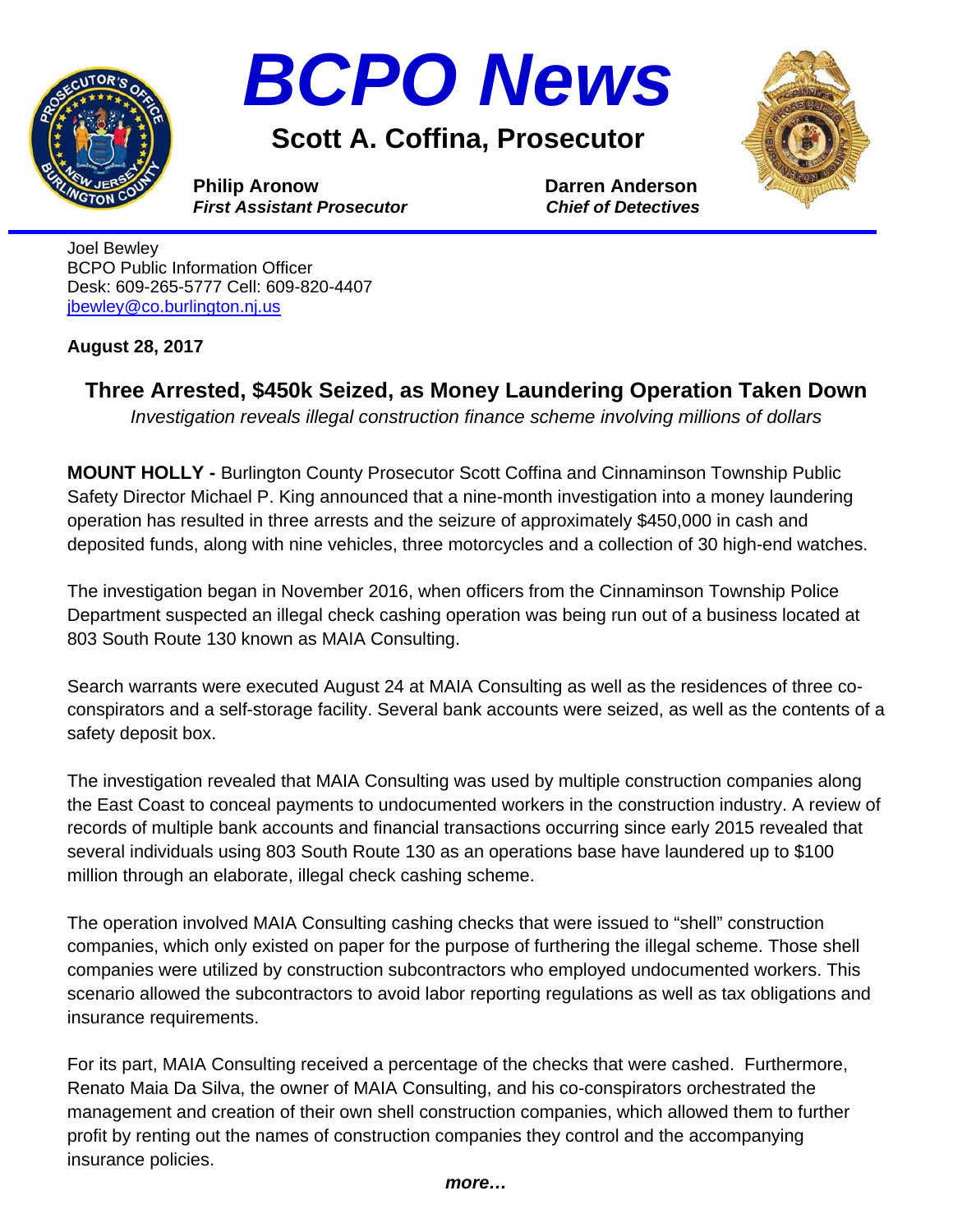



**Scott A. Coffina, Prosecutor** 



**Philip Aronow Darren Anderson** *First Assistant Prosecutor**Chief of Detectives*

Joel Bewley BCPO Public Information Officer Desk: 609-265-5777 Cell: 609-820-4407 jbewley@co.burlington.nj.us

## **August 28, 2017**

**Three Arrested, \$450k Seized, as Money Laundering Operation Taken Down** 

*Investigation reveals illegal construction finance scheme involving millions of dollars* 

**MOUNT HOLLY -** Burlington County Prosecutor Scott Coffina and Cinnaminson Township Public Safety Director Michael P. King announced that a nine-month investigation into a money laundering operation has resulted in three arrests and the seizure of approximately \$450,000 in cash and deposited funds, along with nine vehicles, three motorcycles and a collection of 30 high-end watches.

The investigation began in November 2016, when officers from the Cinnaminson Township Police Department suspected an illegal check cashing operation was being run out of a business located at 803 South Route 130 known as MAIA Consulting.

Search warrants were executed August 24 at MAIA Consulting as well as the residences of three coconspirators and a self-storage facility. Several bank accounts were seized, as well as the contents of a safety deposit box.

The investigation revealed that MAIA Consulting was used by multiple construction companies along the East Coast to conceal payments to undocumented workers in the construction industry. A review of records of multiple bank accounts and financial transactions occurring since early 2015 revealed that several individuals using 803 South Route 130 as an operations base have laundered up to \$100 million through an elaborate, illegal check cashing scheme.

The operation involved MAIA Consulting cashing checks that were issued to "shell" construction companies, which only existed on paper for the purpose of furthering the illegal scheme. Those shell companies were utilized by construction subcontractors who employed undocumented workers. This scenario allowed the subcontractors to avoid labor reporting regulations as well as tax obligations and insurance requirements.

For its part, MAIA Consulting received a percentage of the checks that were cashed. Furthermore, Renato Maia Da Silva, the owner of MAIA Consulting, and his co-conspirators orchestrated the management and creation of their own shell construction companies, which allowed them to further profit by renting out the names of construction companies they control and the accompanying insurance policies.